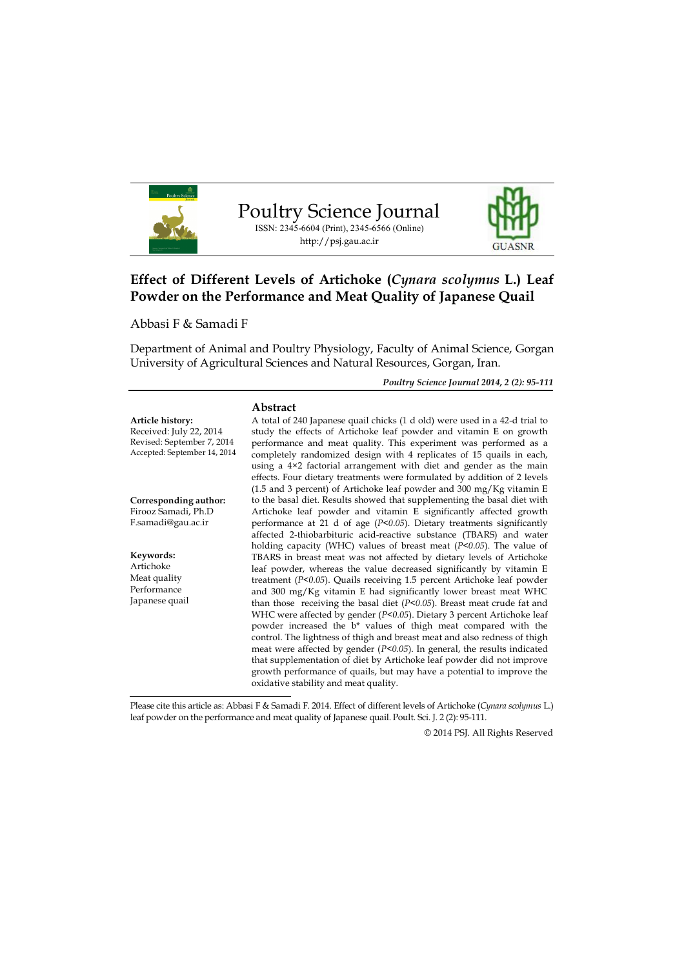

# **Effect of Different Levels of Artichoke (***Cynara scolymus* **L.) Leaf Powder on the Performance and Meat Quality of Japanese Quail**

Abbasi F & Samadi F

Department of Animal and Poultry Physiology, Faculty of Animal Science, Gorgan University of Agricultural Sciences and Natural Resources, Gorgan, Iran.

*Poultry Science Journal 2014, 2 (2): 95-111*

|                              | Abstract                                                                     |
|------------------------------|------------------------------------------------------------------------------|
| Article history:             | A total of 240 Japanese quail chicks (1 d old) were used in a 42-d trial to  |
| Received: July 22, 2014      | study the effects of Artichoke leaf powder and vitamin E on growth           |
| Revised: September 7, 2014   | performance and meat quality. This experiment was performed as a             |
| Accepted: September 14, 2014 | completely randomized design with 4 replicates of 15 quails in each,         |
|                              | using a 4×2 factorial arrangement with diet and gender as the main           |
|                              | effects. Four dietary treatments were formulated by addition of 2 levels     |
|                              | $(1.5$ and 3 percent) of Artichoke leaf powder and 300 mg/Kg vitamin E       |
| Corresponding author:        | to the basal diet. Results showed that supplementing the basal diet with     |
| Firooz Samadi, Ph.D          | Artichoke leaf powder and vitamin E significantly affected growth            |
| F.samadi@gau.ac.ir           | performance at 21 d of age ( $P<0.05$ ). Dietary treatments significantly    |
|                              | affected 2-thiobarbituric acid-reactive substance (TBARS) and water          |
|                              | holding capacity (WHC) values of breast meat ( $P<0.05$ ). The value of      |
| Keywords:<br>Artichoke       | TBARS in breast meat was not affected by dietary levels of Artichoke         |
| Meat quality                 | leaf powder, whereas the value decreased significantly by vitamin E          |
| Performance                  | treatment ( $P<0.05$ ). Quails receiving 1.5 percent Artichoke leaf powder   |
|                              | and 300 mg/Kg vitamin E had significantly lower breast meat WHC              |
| Japanese quail               | than those receiving the basal diet ( $P<0.05$ ). Breast meat crude fat and  |
|                              | WHC were affected by gender ( $P<0.05$ ). Dietary 3 percent Artichoke leaf   |
|                              | powder increased the b* values of thigh meat compared with the               |
|                              | control. The lightness of thigh and breast meat and also redness of thigh    |
|                              | meat were affected by gender ( $P$ <0.05). In general, the results indicated |
|                              | that supplementation of diet by Artichoke leaf powder did not improve        |
|                              | growth performance of quails, but may have a potential to improve the        |

Please cite this article as: Abbasi F & Samadi F. 2014. Effect of different levels of Artichoke (*Cynara scolymus* L.) leaf powder on the performance and meat quality of Japanese quail. Poult. Sci. J. 2 (2): 95-111.

oxidative stability and meat quality.

© 2014 PSJ. All Rights Reserved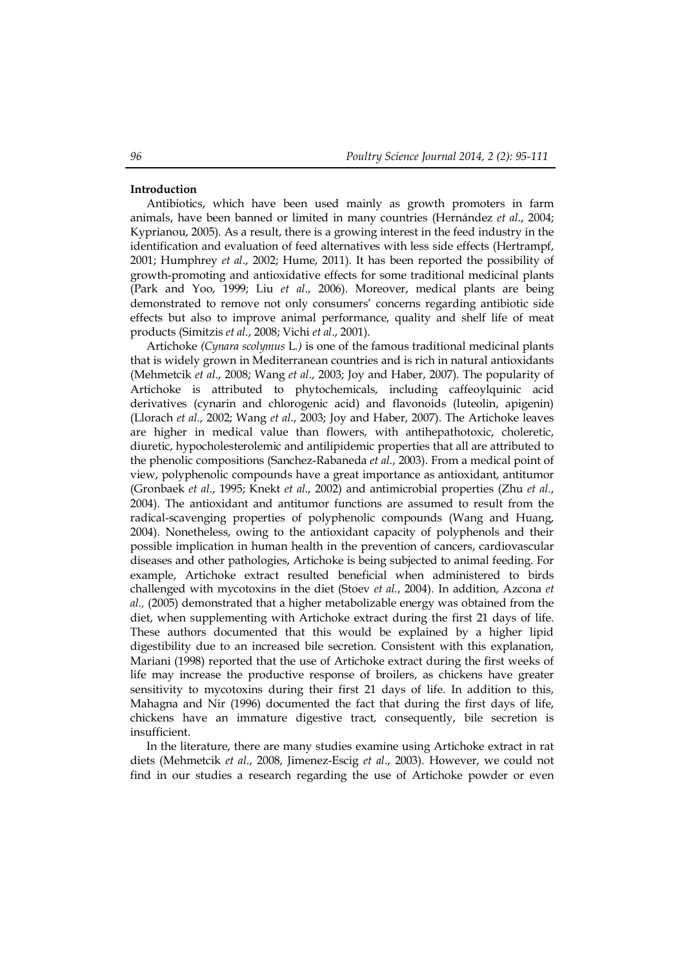## **Introduction**

Antibiotics, which have been used mainly as growth promoters in farm animals, have been banned or limited in many countries (Hernández *et al*., 2004; Kyprianou, 2005). As a result, there is a growing interest in the feed industry in the identification and evaluation of feed alternatives with less side effects (Hertrampf, 2001; Humphrey *et al*., 2002; Hume, 2011). It has been reported the possibility of growth-promoting and antioxidative effects for some traditional medicinal plants (Park and Yoo, 1999; Liu *et al*., 2006). Moreover, medical plants are being demonstrated to remove not only consumers' concerns regarding antibiotic side effects but also to improve animal performance, quality and shelf life of meat products (Simitzis *et al*., 2008; Vichi *et al*., 2001).

Artichoke *(Cynara scolymus* L*.)* is one of the famous traditional medicinal plants that is widely grown in Mediterranean countries and is rich in natural antioxidants (Mehmetcik *et al*., 2008; Wang *et al*., 2003; Joy and Haber, 2007). The popularity of Artichoke is attributed to phytochemicals, including caffeoylquinic acid derivatives (cynarin and chlorogenic acid) and flavonoids (luteolin, apigenin) (Llorach *et al*., 2002; Wang *et al*., 2003; Joy and Haber, 2007). The Artichoke leaves are higher in medical value than flowers, with antihepathotoxic, choleretic, diuretic, hypocholesterolemic and antilipidemic properties that all are attributed to the phenolic compositions (Sanchez-Rabaneda *et al*., 2003). From a medical point of view, polyphenolic compounds have a great importance as antioxidant, antitumor (Gronbaek *et al*., 1995; Knekt *et al*., 2002) and antimicrobial properties (Zhu *et al*., 2004). The antioxidant and antitumor functions are assumed to result from the radical-scavenging properties of polyphenolic compounds (Wang and Huang, 2004). Nonetheless, owing to the antioxidant capacity of polyphenols and their possible implication in human health in the prevention of cancers, cardiovascular diseases and other pathologies, Artichoke is being subjected to animal feeding. For example, Artichoke extract resulted beneficial when administered to birds challenged with mycotoxins in the diet (Stoev *et al.*, 2004). In addition, Azcona *et al.,* (2005) demonstrated that a higher metabolizable energy was obtained from the diet, when supplementing with Artichoke extract during the first 21 days of life. These authors documented that this would be explained by a higher lipid digestibility due to an increased bile secretion. Consistent with this explanation, Mariani (1998) reported that the use of Artichoke extract during the first weeks of life may increase the productive response of broilers, as chickens have greater sensitivity to mycotoxins during their first 21 days of life. In addition to this, Mahagna and Nir (1996) documented the fact that during the first days of life, chickens have an immature digestive tract, consequently, bile secretion is insufficient.

In the literature, there are many studies examine using Artichoke extract in rat diets (Mehmetcik *et al*., 2008, Jimenez-Escig *et al*., 2003). However, we could not find in our studies a research regarding the use of Artichoke powder or even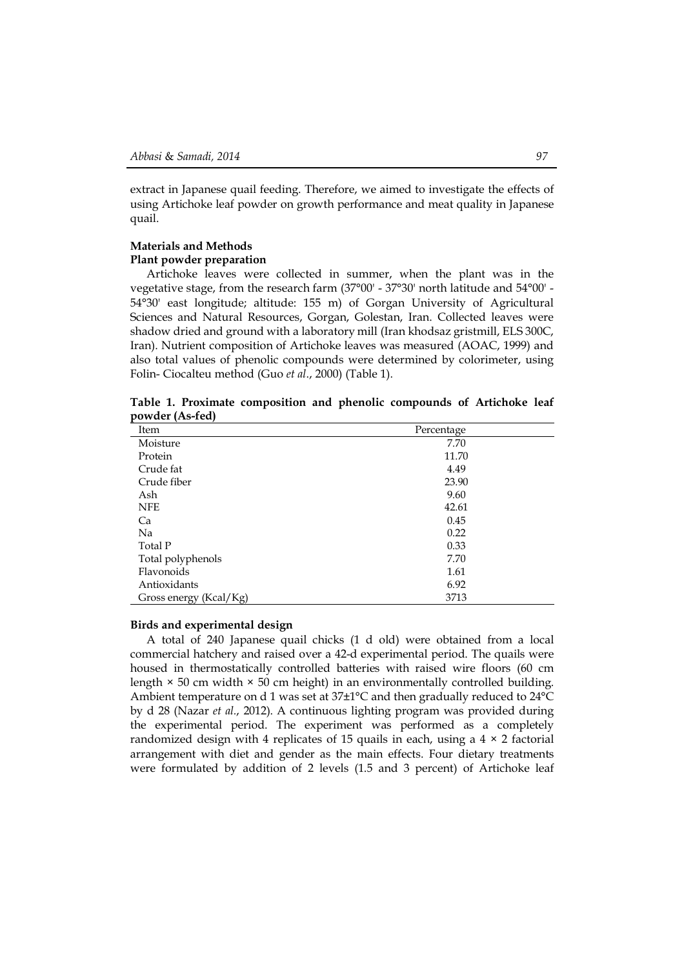extract in Japanese quail feeding. Therefore, we aimed to investigate the effects of using Artichoke leaf powder on growth performance and meat quality in Japanese quail.

# **Materials and Methods Plant powder preparation**

Artichoke leaves were collected in summer, when the plant was in the vegetative stage, from the research farm (37°00' - 37°30' north latitude and 54°00' - 54°30' east longitude; altitude: 155 m) of Gorgan University of Agricultural Sciences and Natural Resources, Gorgan, Golestan, Iran. Collected leaves were shadow dried and ground with a laboratory mill (Iran khodsaz gristmill, ELS 300C, Iran). Nutrient composition of Artichoke leaves was measured (AOAC, 1999) and also total values of phenolic compounds were determined by colorimeter, using Folin- Ciocalteu method (Guo *et al*., 2000) (Table 1).

**Table 1. Proximate composition and phenolic compounds of Artichoke leaf powder (As-fed)**

| Item                   | Percentage |
|------------------------|------------|
| Moisture               | 7.70       |
| Protein                | 11.70      |
| Crude fat              | 4.49       |
| Crude fiber            | 23.90      |
| Ash                    | 9.60       |
| <b>NFE</b>             | 42.61      |
| Ca                     | 0.45       |
| Na                     | 0.22       |
| Total P                | 0.33       |
| Total polyphenols      | 7.70       |
| Flavonoids             | 1.61       |
| Antioxidants           | 6.92       |
| Gross energy (Kcal/Kg) | 3713       |

## **Birds and experimental design**

A total of 240 Japanese quail chicks (1 d old) were obtained from a local commercial hatchery and raised over a 42-d experimental period. The quails were housed in thermostatically controlled batteries with raised wire floors (60 cm length  $\times$  50 cm width  $\times$  50 cm height) in an environmentally controlled building. Ambient temperature on d 1 was set at 37±1°C and then gradually reduced to 24°C by d 28 (Nazar *et al.*, 2012). A continuous lighting program was provided during the experimental period. The experiment was performed as a completely randomized design with 4 replicates of 15 quails in each, using a  $4 \times 2$  factorial arrangement with diet and gender as the main effects. Four dietary treatments were formulated by addition of 2 levels (1.5 and 3 percent) of Artichoke leaf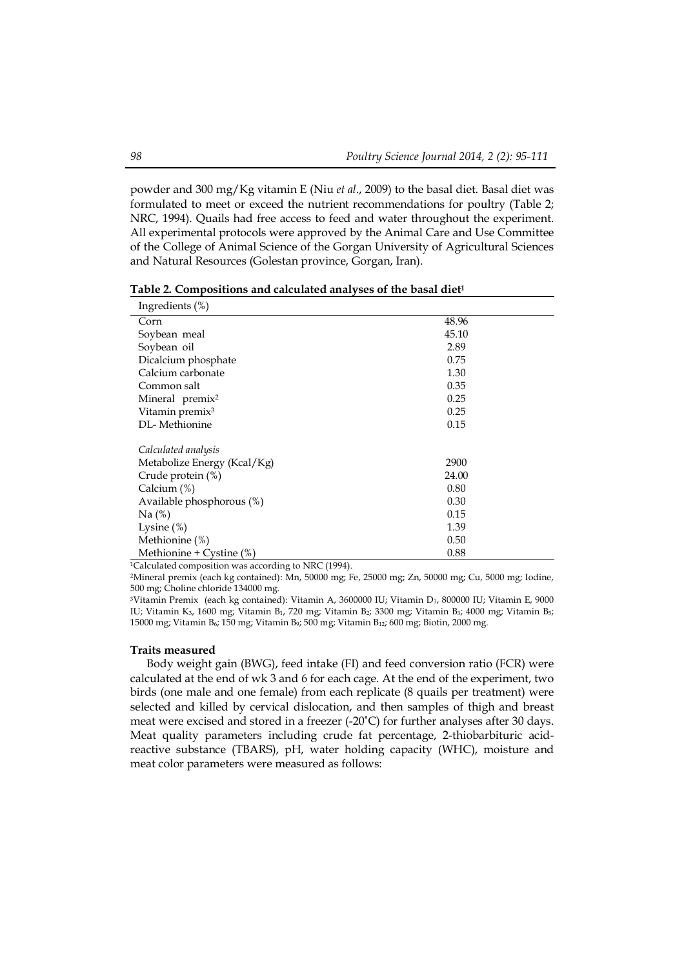powder and 300 mg/Kg vitamin E (Niu *et al*., 2009) to the basal diet. Basal diet was formulated to meet or exceed the nutrient recommendations for poultry (Table 2; NRC, 1994). Quails had free access to feed and water throughout the experiment. All experimental protocols were approved by the Animal Care and Use Committee of the College of Animal Science of the Gorgan University of Agricultural Sciences and Natural Resources (Golestan province, Gorgan, Iran).

**Table 2. Compositions and calculated analyses of the basal diet<sup>1</sup>**

| Ingredients $(\%)$          |       |  |
|-----------------------------|-------|--|
| Corn                        | 48.96 |  |
| Soybean meal                | 45.10 |  |
| Soybean oil                 | 2.89  |  |
| Dicalcium phosphate         | 0.75  |  |
| Calcium carbonate           | 1.30  |  |
| Common salt                 | 0.35  |  |
| Mineral premix <sup>2</sup> | 0.25  |  |
| Vitamin premix <sup>3</sup> | 0.25  |  |
| DL-Methionine               | 0.15  |  |
|                             |       |  |
| Calculated analysis         |       |  |
| Metabolize Energy (Kcal/Kg) | 2900  |  |
| Crude protein (%)           | 24.00 |  |
| Calcium (%)                 | 0.80  |  |
| Available phosphorous (%)   | 0.30  |  |
| Na(%)                       | 0.15  |  |
| Lysine $(\%)$               | 1.39  |  |
| Methionine (%)              | 0.50  |  |
| Methionine + Cystine (%)    | 0.88  |  |

<sup>1</sup>Calculated composition was according to NRC (1994).

<sup>2</sup>Mineral premix (each kg contained): Mn, 50000 mg; Fe, 25000 mg; Zn, 50000 mg; Cu, 5000 mg; Iodine, 500 mg; Choline chloride 134000 mg.

<sup>3</sup>Vitamin Premix (each kg contained): Vitamin A, 3600000 IU; Vitamin D<sub>3</sub>, 800000 IU; Vitamin E, 9000 IU; Vitamin K3, 1600 mg; Vitamin B1, 720 mg; Vitamin B2; 3300 mg; Vitamin B3; 4000 mg; Vitamin B5; 15000 mg; Vitamin B6; 150 mg; Vitamin B9; 500 mg; Vitamin B12; 600 mg; Biotin, 2000 mg.

## **Traits measured**

Body weight gain (BWG), feed intake (FI) and feed conversion ratio (FCR) were calculated at the end of wk 3 and 6 for each cage. At the end of the experiment, two birds (one male and one female) from each replicate (8 quails per treatment) were selected and killed by cervical dislocation, and then samples of thigh and breast meat were excised and stored in a freezer (-20°C) for further analyses after 30 days. Meat quality parameters including crude fat percentage, 2-thiobarbituric acidreactive substance (TBARS), pH, water holding capacity (WHC), moisture and meat color parameters were measured as follows: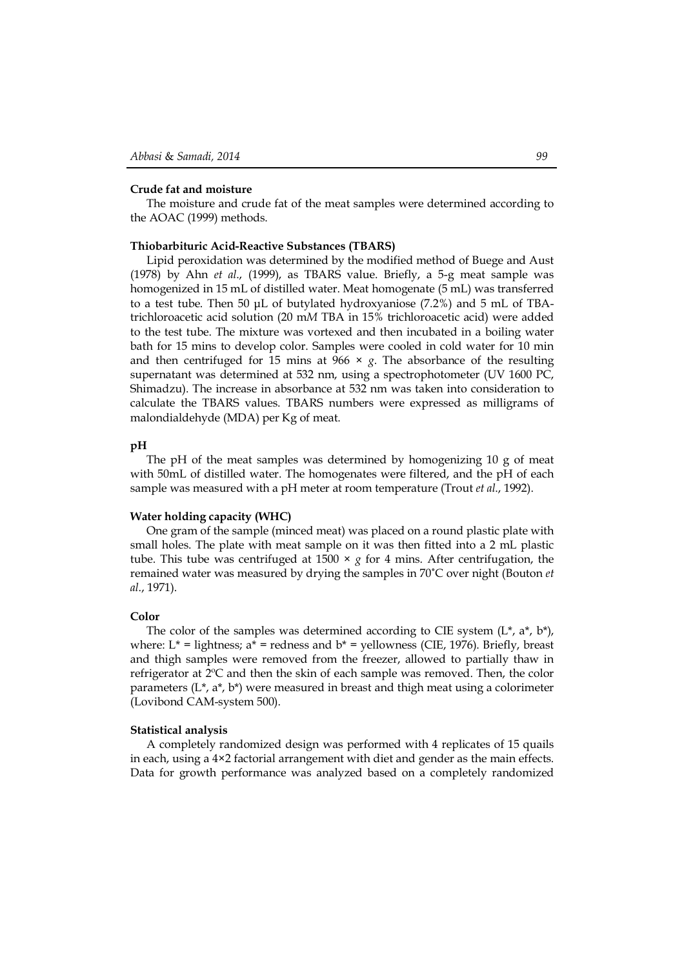#### **Crude fat and moisture**

The moisture and crude fat of the meat samples were determined according to the AOAC (1999) methods.

## **Thiobarbituric Acid-Reactive Substances (TBARS)**

Lipid peroxidation was determined by the modified method of Buege and Aust (1978) by Ahn *et al*., (1999), as TBARS value. Briefly, a 5-g meat sample was homogenized in 15 mL of distilled water. Meat homogenate (5 mL) was transferred to a test tube. Then 50 μL of butylated hydroxyaniose (7.2%) and 5 mL of TBAtrichloroacetic acid solution (20 m*M* TBA in 15% trichloroacetic acid) were added to the test tube. The mixture was vortexed and then incubated in a boiling water bath for 15 mins to develop color. Samples were cooled in cold water for 10 min and then centrifuged for 15 mins at  $966 \times g$ . The absorbance of the resulting supernatant was determined at 532 nm, using a spectrophotometer (UV 1600 PC, Shimadzu). The increase in absorbance at 532 nm was taken into consideration to calculate the TBARS values. TBARS numbers were expressed as milligrams of malondialdehyde (MDA) per Kg of meat.

# **pH**

The pH of the meat samples was determined by homogenizing  $10 \text{ g}$  of meat with 50mL of distilled water. The homogenates were filtered, and the pH of each sample was measured with a pH meter at room temperature (Trout *et al*., 1992).

#### **Water holding capacity (WHC)**

One gram of the sample (minced meat) was placed on a round plastic plate with small holes. The plate with meat sample on it was then fitted into a 2 mL plastic tube. This tube was centrifuged at 1500  $\times$  *g* for 4 mins. After centrifugation, the remained water was measured by drying the samples in 70˚C over night (Bouton *et al*., 1971).

#### **Color**

The color of the samples was determined according to CIE system  $(L^*, a^*, b^*)$ , where:  $L^*$  = lightness;  $a^*$  = redness and  $b^*$  = yellowness (CIE, 1976). Briefly, breast and thigh samples were removed from the freezer, allowed to partially thaw in refrigerator at 2ºC and then the skin of each sample was removed. Then, the color parameters ( $L^*, a^*, b^*$ ) were measured in breast and thigh meat using a colorimeter (Lovibond CAM-system 500).

#### **Statistical analysis**

A completely randomized design was performed with 4 replicates of 15 quails in each, using a 4×2 factorial arrangement with diet and gender as the main effects. Data for growth performance was analyzed based on a completely randomized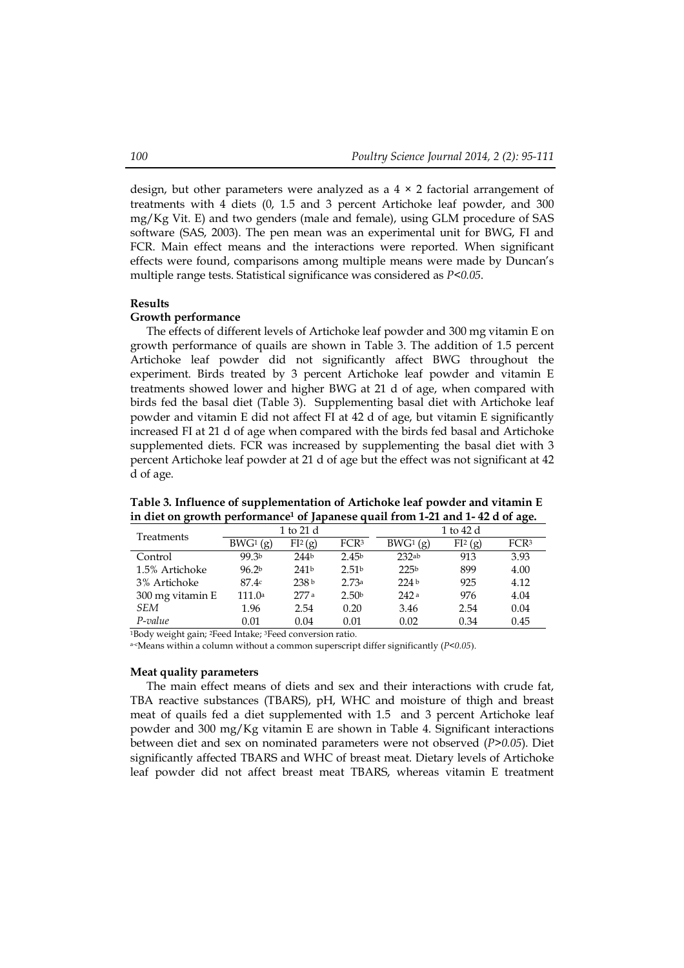design, but other parameters were analyzed as a  $4 \times 2$  factorial arrangement of treatments with 4 diets (0, 1.5 and 3 percent Artichoke leaf powder, and 300 mg/Kg Vit. E) and two genders (male and female), using GLM procedure of SAS software (SAS, 2003). The pen mean was an experimental unit for BWG, FI and FCR. Main effect means and the interactions were reported. When significant effects were found, comparisons among multiple means were made by Duncan's multiple range tests. Statistical significance was considered as *P<0.05*.

#### **Results**

#### **Growth performance**

The effects of different levels of Artichoke leaf powder and 300 mg vitamin E on growth performance of quails are shown in Table 3. The addition of 1.5 percent Artichoke leaf powder did not significantly affect BWG throughout the experiment. Birds treated by 3 percent Artichoke leaf powder and vitamin E treatments showed lower and higher BWG at 21 d of age, when compared with birds fed the basal diet (Table 3). Supplementing basal diet with Artichoke leaf powder and vitamin E did not affect FI at 42 d of age, but vitamin E significantly increased FI at 21 d of age when compared with the birds fed basal and Artichoke supplemented diets. FCR was increased by supplementing the basal diet with 3 percent Artichoke leaf powder at 21 d of age but the effect was not significant at 42 d of age.

| Treatments       |                   | 1 to 21 d           |                   | 1 to 42 d        |                     |                  |  |
|------------------|-------------------|---------------------|-------------------|------------------|---------------------|------------------|--|
|                  | $BWG^1(g)$        | FI <sup>2</sup> (g) | FCR <sup>3</sup>  | $BWG^1(g)$       | FI <sup>2</sup> (g) | FCR <sup>3</sup> |  |
| Control          | 99.3b             | 244 <sub>b</sub>    | 2.45 <sup>b</sup> | 232ab            | 913                 | 3.93             |  |
| 1.5% Artichoke   | 96.2 <sup>b</sup> | 241 <sup>b</sup>    | 2.51 <sup>b</sup> | 225 <sup>b</sup> | 899                 | 4.00             |  |
| 3% Artichoke     | 87.4c             | 238 b               | 2.73a             | 224 <sub>b</sub> | 925                 | 4.12             |  |
| 300 mg vitamin E | 111.0a            | 277 a               | 2.50 <sup>b</sup> | 242a             | 976                 | 4.04             |  |
| SEM              | 1.96              | 2.54                | 0.20              | 3.46             | 2.54                | 0.04             |  |
| P-value          | 0.01              | 0.04                | 0.01              | 0.02             | 0.34                | 0.45             |  |

**Table 3. Influence of supplementation of Artichoke leaf powder and vitamin E in diet on growth performance<sup>1</sup> of Japanese quail from 1-21 and 1- 42 d of age.**

<sup>1</sup>Body weight gain; 2Feed Intake; 3Feed conversion ratio.

a-cMeans within a column without a common superscript differ significantly (*P<0.05*).

## **Meat quality parameters**

The main effect means of diets and sex and their interactions with crude fat, TBA reactive substances (TBARS), pH, WHC and moisture of thigh and breast meat of quails fed a diet supplemented with 1.5 and 3 percent Artichoke leaf powder and 300 mg/Kg vitamin E are shown in Table 4. Significant interactions between diet and sex on nominated parameters were not observed (*P>0.05*). Diet significantly affected TBARS and WHC of breast meat. Dietary levels of Artichoke leaf powder did not affect breast meat TBARS, whereas vitamin E treatment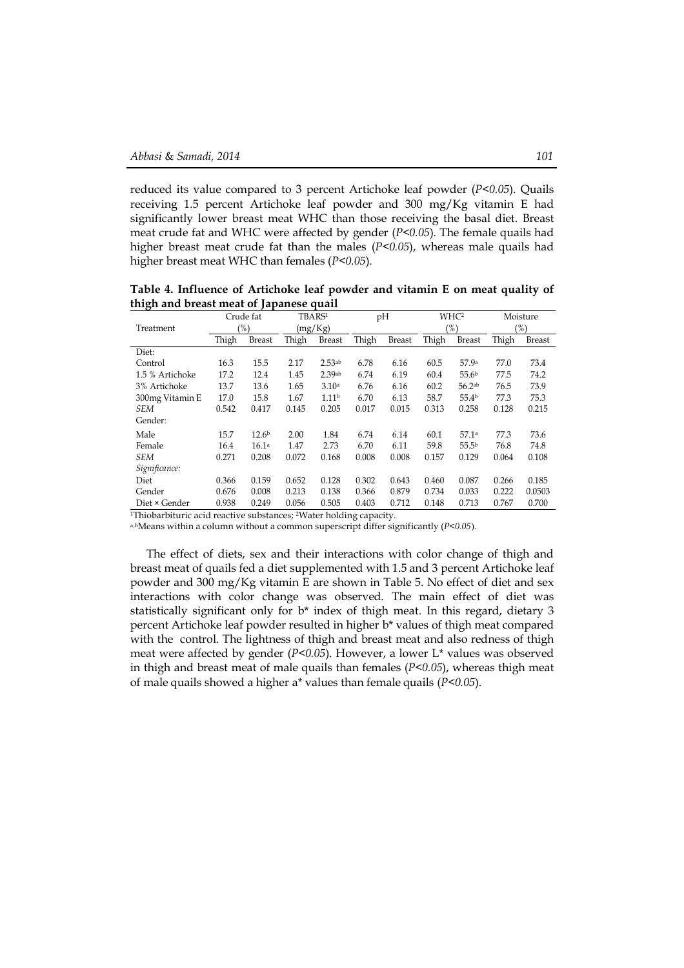reduced its value compared to 3 percent Artichoke leaf powder (*P<0.05*). Quails receiving 1.5 percent Artichoke leaf powder and 300 mg/Kg vitamin E had significantly lower breast meat WHC than those receiving the basal diet. Breast meat crude fat and WHC were affected by gender (*P<0.05*). The female quails had higher breast meat crude fat than the males (*P<0.05*), whereas male quails had higher breast meat WHC than females (*P<0.05*).

**Table 4. Influence of Artichoke leaf powder and vitamin E on meat quality of thigh and breast meat of Japanese quail**

|                 | Crude fat |                   | TBARS <sup>1</sup> |                   | pH    |               | WHC <sup>2</sup> |                    | Moisture |               |
|-----------------|-----------|-------------------|--------------------|-------------------|-------|---------------|------------------|--------------------|----------|---------------|
| Treatment       | $(\%)$    |                   | (mg/Kg)            |                   |       |               | (%)              |                    | $(\%)$   |               |
|                 | Thigh     | <b>Breast</b>     | Thigh              | <b>Breast</b>     | Thigh | <b>Breast</b> | Thigh            | <b>Breast</b>      | Thigh    | <b>Breast</b> |
| Diet:           |           |                   |                    |                   |       |               |                  |                    |          |               |
| Control         | 16.3      | 15.5              | 2.17               | 2.53ab            | 6.78  | 6.16          | 60.5             | 57.9a              | 77.0     | 73.4          |
| 1.5 % Artichoke | 17.2      | 12.4              | 1.45               | 2.39ab            | 6.74  | 6.19          | 60.4             | 55.6 <sup>b</sup>  | 77.5     | 74.2          |
| 3% Artichoke    | 13.7      | 13.6              | 1.65               | 3.10 <sup>a</sup> | 6.76  | 6.16          | 60.2             | 56.2 <sup>ab</sup> | 76.5     | 73.9          |
| 300mg Vitamin E | 17.0      | 15.8              | 1.67               | 1.11 <sup>b</sup> | 6.70  | 6.13          | 58.7             | 55.4 <sup>b</sup>  | 77.3     | 75.3          |
| <b>SEM</b>      | 0.542     | 0.417             | 0.145              | 0.205             | 0.017 | 0.015         | 0.313            | 0.258              | 0.128    | 0.215         |
| Gender:         |           |                   |                    |                   |       |               |                  |                    |          |               |
| Male            | 15.7      | 12.6 <sup>b</sup> | 2.00               | 1.84              | 6.74  | 6.14          | 60.1             | 57.1a              | 77.3     | 73.6          |
| Female          | 16.4      | 16.1a             | 1.47               | 2.73              | 6.70  | 6.11          | 59.8             | 55.5 <sup>b</sup>  | 76.8     | 74.8          |
| <b>SEM</b>      | 0.271     | 0.208             | 0.072              | 0.168             | 0.008 | 0.008         | 0.157            | 0.129              | 0.064    | 0.108         |
| Significance:   |           |                   |                    |                   |       |               |                  |                    |          |               |
| Diet            | 0.366     | 0.159             | 0.652              | 0.128             | 0.302 | 0.643         | 0.460            | 0.087              | 0.266    | 0.185         |
| Gender          | 0.676     | 0.008             | 0.213              | 0.138             | 0.366 | 0.879         | 0.734            | 0.033              | 0.222    | 0.0503        |
| Diet × Gender   | 0.938     | 0.249             | 0.056              | 0.505             | 0.403 | 0.712         | 0.148            | 0.713              | 0.767    | 0.700         |

<sup>1</sup>Thiobarbituric acid reactive substances; 2Water holding capacity.

a,bMeans within a column without a common superscript differ significantly (*P<0.05*).

The effect of diets, sex and their interactions with color change of thigh and breast meat of quails fed a diet supplemented with 1.5 and 3 percent Artichoke leaf powder and 300 mg/Kg vitamin E are shown in Table 5. No effect of diet and sex interactions with color change was observed. The main effect of diet was statistically significant only for  $b^*$  index of thigh meat. In this regard, dietary 3 percent Artichoke leaf powder resulted in higher b\* values of thigh meat compared with the control. The lightness of thigh and breast meat and also redness of thigh meat were affected by gender (*P<0.05*). However, a lower L\* values was observed in thigh and breast meat of male quails than females (*P<0.05*), whereas thigh meat of male quails showed a higher a\* values than female quails (*P<0.05*).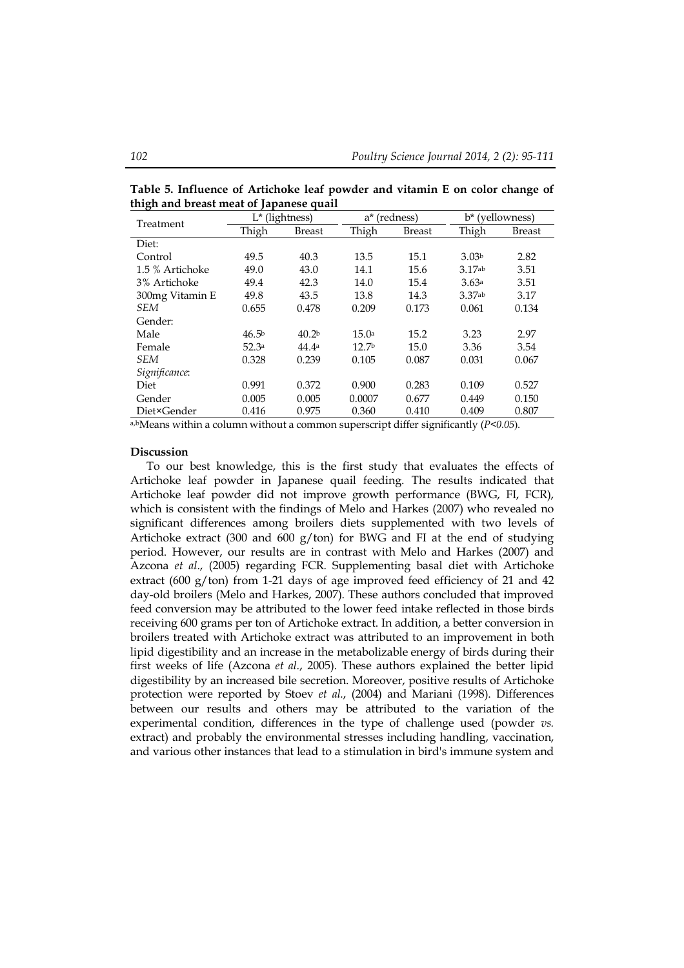| nigh and preast meat or Japanese quall: |                   |                   |                   |               |                   |               |  |  |  |
|-----------------------------------------|-------------------|-------------------|-------------------|---------------|-------------------|---------------|--|--|--|
| Treatment                               | L* (lightness)    |                   | a*                | (redness)     | b* (yellowness)   |               |  |  |  |
|                                         | Thigh             | <b>Breast</b>     | Thigh             | <b>Breast</b> | Thigh             | <b>Breast</b> |  |  |  |
| Diet:                                   |                   |                   |                   |               |                   |               |  |  |  |
| Control                                 | 49.5              | 40.3              | 13.5              | 15.1          | 3.03 <sup>b</sup> | 2.82          |  |  |  |
| 1.5 % Artichoke                         | 49.0              | 43.0              | 14.1              | 15.6          | 3.17ab            | 3.51          |  |  |  |
| 3% Artichoke                            | 49.4              | 42.3              | 14.0              | 15.4          | 3.63a             | 3.51          |  |  |  |
| 300mg Vitamin E                         | 49.8              | 43.5              | 13.8              | 14.3          | 3.37ab            | 3.17          |  |  |  |
| <b>SEM</b>                              | 0.655             | 0.478             | 0.209             | 0.173         | 0.061             | 0.134         |  |  |  |
| Gender:                                 |                   |                   |                   |               |                   |               |  |  |  |
| Male                                    | 46.5 <sup>b</sup> | 40.2 <sup>b</sup> | 15.0a             | 15.2          | 3.23              | 2.97          |  |  |  |
| Female                                  | 52.3a             | 44.4 <sup>a</sup> | 12.7 <sup>b</sup> | 15.0          | 3.36              | 3.54          |  |  |  |
| <b>SEM</b>                              | 0.328             | 0.239             | 0.105             | 0.087         | 0.031             | 0.067         |  |  |  |
| Significance:                           |                   |                   |                   |               |                   |               |  |  |  |
| Diet                                    | 0.991             | 0.372             | 0.900             | 0.283         | 0.109             | 0.527         |  |  |  |
| Gender                                  | 0.005             | 0.005             | 0.0007            | 0.677         | 0.449             | 0.150         |  |  |  |
| Diet×Gender                             | 0.416             | 0.975             | 0.360             | 0.410         | 0.409             | 0.807         |  |  |  |

**Table 5. Influence of Artichoke leaf powder and vitamin E on color change of thigh and breast meat of Japanese quail** 

a,bMeans within a column without a common superscript differ significantly (*P<0.05*).

## **Discussion**

To our best knowledge, this is the first study that evaluates the effects of Artichoke leaf powder in Japanese quail feeding. The results indicated that Artichoke leaf powder did not improve growth performance (BWG, FI, FCR), which is consistent with the findings of Melo and Harkes (2007) who revealed no significant differences among broilers diets supplemented with two levels of Artichoke extract (300 and 600  $g/t$ on) for BWG and FI at the end of studying period. However, our results are in contrast with Melo and Harkes (2007) and Azcona *et al*., (2005) regarding FCR. Supplementing basal diet with Artichoke extract (600 g/ton) from 1-21 days of age improved feed efficiency of 21 and 42 day-old broilers (Melo and Harkes, 2007). These authors concluded that improved feed conversion may be attributed to the lower feed intake reflected in those birds receiving 600 grams per ton of Artichoke extract. In addition, a better conversion in broilers treated with Artichoke extract was attributed to an improvement in both lipid digestibility and an increase in the metabolizable energy of birds during their first weeks of life (Azcona *et al*., 2005). These authors explained the better lipid digestibility by an increased bile secretion. Moreover, positive results of Artichoke protection were reported by Stoev *et al.*, (2004) and Mariani (1998). Differences between our results and others may be attributed to the variation of the experimental condition, differences in the type of challenge used (powder *vs.* extract) and probably the environmental stresses including handling, vaccination, and various other instances that lead to a stimulation in bird's immune system and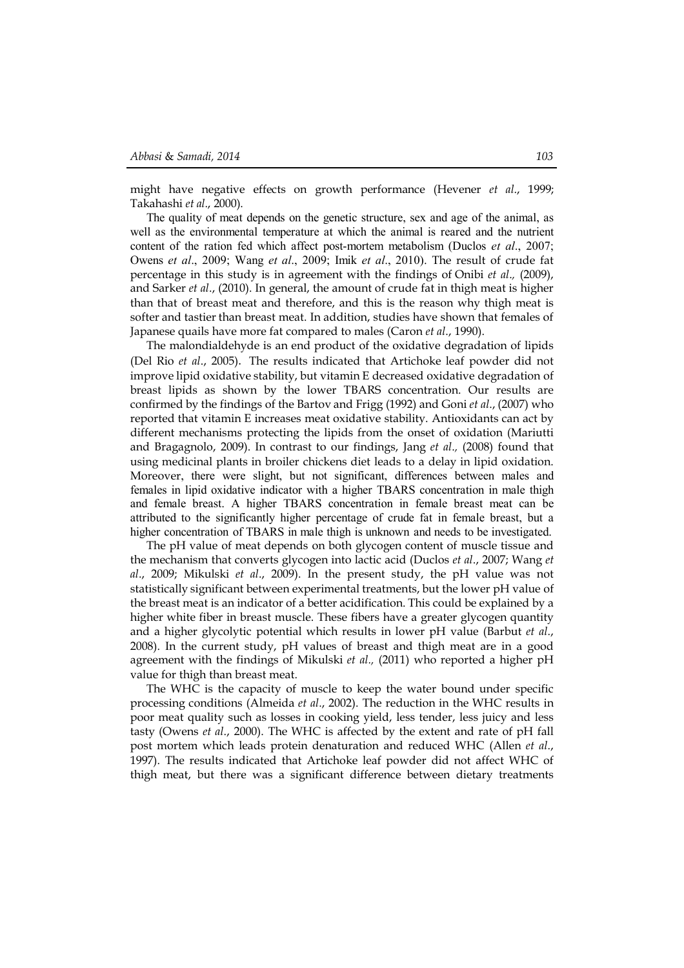might have negative effects on growth performance (Hevener *et al*., 1999; Takahashi *et al*., 2000).

The quality of meat depends on the genetic structure, sex and age of the animal, as well as the environmental temperature at which the animal is reared and the nutrient content of the ration fed which affect post-mortem metabolism (Duclos *et al*., 2007; Owens *et al*., 2009; Wang *et al*., 2009; Imik *et al*., 2010). The result of crude fat percentage in this study is in agreement with the findings of Onibi *et al*.*,* (2009), and Sarker *et al*., (2010). In general, the amount of crude fat in thigh meat is higher than that of breast meat and therefore, and this is the reason why thigh meat is softer and tastier than breast meat. In addition, studies have shown that females of Japanese quails have more fat compared to males (Caron *et al*., 1990).

The malondialdehyde is an end product of the oxidative degradation of lipids (Del Rio *et al*., 2005). The results indicated that Artichoke leaf powder did not improve lipid oxidative stability, but vitamin E decreased oxidative degradation of breast lipids as shown by the lower TBARS concentration. Our results are confirmed by the findings of the Bartov and Frigg (1992) and Goni *et al*., (2007) who reported that vitamin E increases meat oxidative stability. Antioxidants can act by different mechanisms protecting the lipids from the onset of oxidation (Mariutti and Bragagnolo, 2009). In contrast to our findings, Jang *et al*.*,* (2008) found that using medicinal plants in broiler chickens diet leads to a delay in lipid oxidation. Moreover, there were slight, but not significant, differences between males and females in lipid oxidative indicator with a higher TBARS concentration in male thigh and female breast. A higher TBARS concentration in female breast meat can be attributed to the significantly higher percentage of crude fat in female breast, but a higher concentration of TBARS in male thigh is unknown and needs to be investigated.

The pH value of meat depends on both glycogen content of muscle tissue and the mechanism that converts glycogen into lactic acid (Duclos *et al*., 2007; Wang *et al*., 2009; Mikulski *et al*., 2009). In the present study, the pH value was not statistically significant between experimental treatments, but the lower pH value of the breast meat is an indicator of a better acidification. This could be explained by a higher white fiber in breast muscle. These fibers have a greater glycogen quantity and a higher glycolytic potential which results in lower pH value (Barbut *et al*., 2008). In the current study, pH values of breast and thigh meat are in a good agreement with the findings of Mikulski *et al.,* (2011) who reported a higher pH value for thigh than breast meat.

The WHC is the capacity of muscle to keep the water bound under specific processing conditions (Almeida *et al*., 2002). The reduction in the WHC results in poor meat quality such as losses in cooking yield, less tender, less juicy and less tasty (Owens *et al*., 2000). The WHC is affected by the extent and rate of pH fall post mortem which leads protein denaturation and reduced WHC (Allen *et al*., 1997). The results indicated that Artichoke leaf powder did not affect WHC of thigh meat, but there was a significant difference between dietary treatments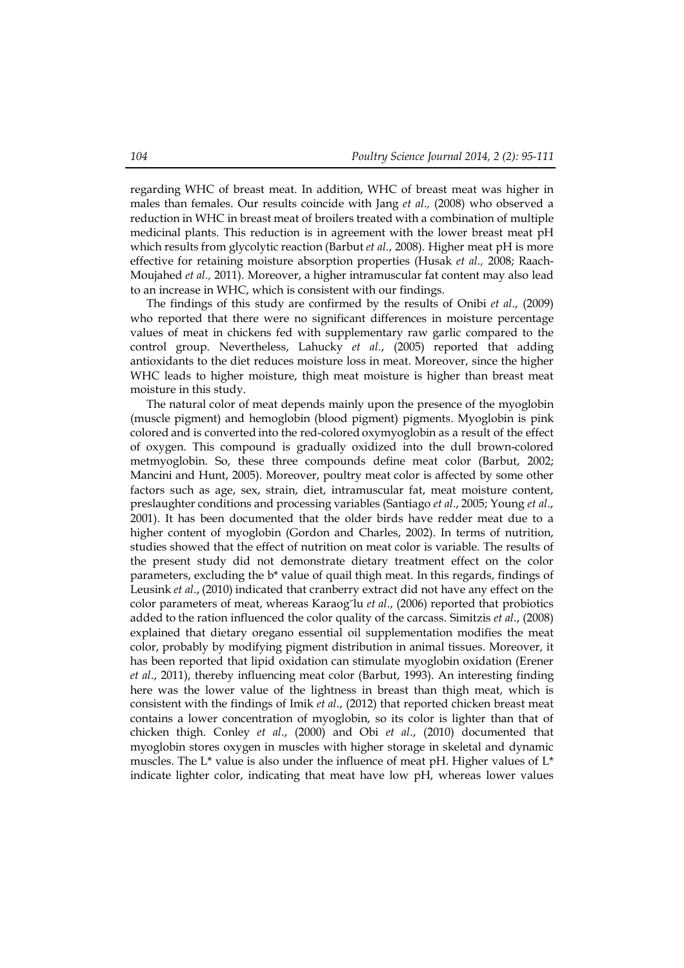regarding WHC of breast meat. In addition, WHC of breast meat was higher in males than females. Our results coincide with Jang *et al*.*,* (2008) who observed a reduction in WHC in breast meat of broilers treated with a combination of multiple medicinal plants. This reduction is in agreement with the lower breast meat pH which results from glycolytic reaction (Barbut *et al*., 2008). Higher meat pH is more effective for retaining moisture absorption properties (Husak *et al.,* 2008; Raach-Moujahed *et al.,* 2011). Moreover, a higher intramuscular fat content may also lead to an increase in WHC, which is consistent with our findings.

The findings of this study are confirmed by the results of Onibi *et al*., (2009) who reported that there were no significant differences in moisture percentage values of meat in chickens fed with supplementary raw garlic compared to the control group. Nevertheless, Lahucky *et al*., (2005) reported that adding antioxidants to the diet reduces moisture loss in meat. Moreover, since the higher WHC leads to higher moisture, thigh meat moisture is higher than breast meat moisture in this study.

The natural color of meat depends mainly upon the presence of the myoglobin (muscle pigment) and hemoglobin (blood pigment) pigments. Myoglobin is pink colored and is converted into the red-colored oxymyoglobin as a result of the effect of oxygen. This compound is gradually oxidized into the dull brown-colored metmyoglobin. So, these three compounds define meat color (Barbut, 2002; Mancini and Hunt, 2005). Moreover, poultry meat color is affected by some other factors such as age, sex, strain, diet, intramuscular fat, meat moisture content, preslaughter conditions and processing variables (Santiago *et al*., 2005; Young *et al*., 2001). It has been documented that the older birds have redder meat due to a higher content of myoglobin (Gordon and Charles, 2002). In terms of nutrition, studies showed that the effect of nutrition on meat color is variable. The results of the present study did not demonstrate dietary treatment effect on the color parameters, excluding the b\* value of quail thigh meat. In this regards, findings of Leusink *et al*., (2010) indicated that cranberry extract did not have any effect on the color parameters of meat, whereas Karaog˘lu *et al*., (2006) reported that probiotics added to the ration influenced the color quality of the carcass. Simitzis *et al*., (2008) explained that dietary oregano essential oil supplementation modifies the meat color, probably by modifying pigment distribution in animal tissues. Moreover, it has been reported that lipid oxidation can stimulate myoglobin oxidation (Erener *et al*., 2011), thereby influencing meat color (Barbut, 1993). An interesting finding here was the lower value of the lightness in breast than thigh meat, which is consistent with the findings of Imik *et al*., (2012) that reported chicken breast meat contains a lower concentration of myoglobin, so its color is lighter than that of chicken thigh. Conley *et al*., (2000) and Obi *et al*., (2010) documented that myoglobin stores oxygen in muscles with higher storage in skeletal and dynamic muscles. The L<sup>\*</sup> value is also under the influence of meat pH. Higher values of  $L^*$ indicate lighter color, indicating that meat have low pH, whereas lower values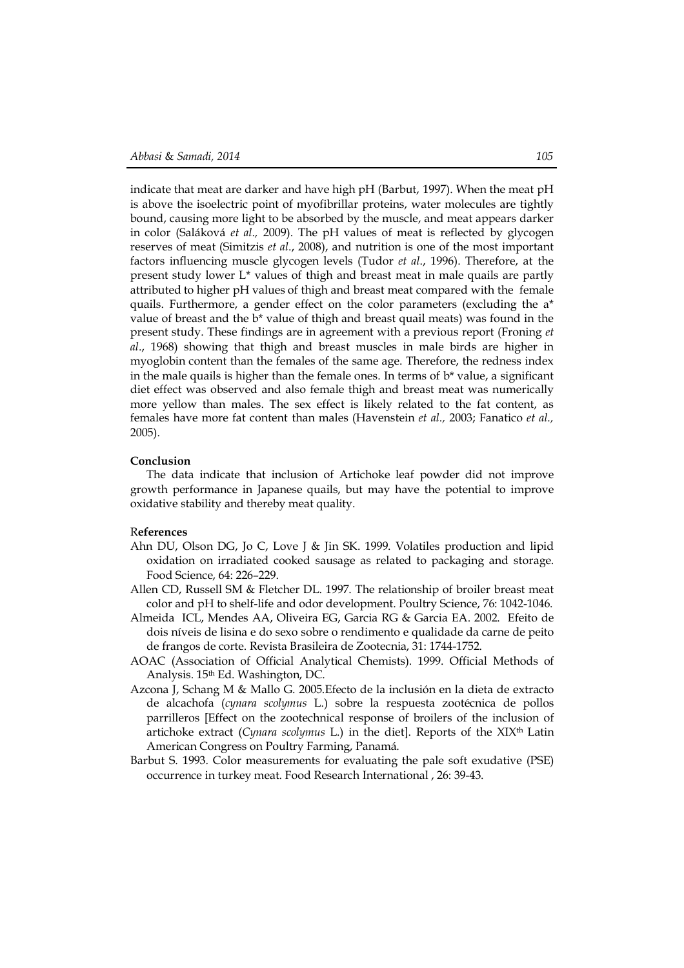indicate that meat are darker and have high pH (Barbut, 1997). When the meat pH is above the isoelectric point of myofibrillar proteins, water molecules are tightly bound, causing more light to be absorbed by the muscle, and meat appears darker in color (Saláková *et al.,* 2009). The pH values of meat is reflected by glycogen reserves of meat (Simitzis *et al*., 2008), and nutrition is one of the most important factors influencing muscle glycogen levels (Tudor *et al*., 1996). Therefore, at the present study lower L\* values of thigh and breast meat in male quails are partly attributed to higher pH values of thigh and breast meat compared with the female quails. Furthermore, a gender effect on the color parameters (excluding the a\* value of breast and the b\* value of thigh and breast quail meats) was found in the present study. These findings are in agreement with a previous report (Froning *et al*., 1968) showing that thigh and breast muscles in male birds are higher in myoglobin content than the females of the same age. Therefore, the redness index in the male quails is higher than the female ones. In terms of  $b^*$  value, a significant diet effect was observed and also female thigh and breast meat was numerically more yellow than males. The sex effect is likely related to the fat content, as females have more fat content than males (Havenstein *et al.,* 2003; Fanatico *et al.,* 2005).

#### **Conclusion**

The data indicate that inclusion of Artichoke leaf powder did not improve growth performance in Japanese quails, but may have the potential to improve oxidative stability and thereby meat quality.

## R**eferences**

- Ahn DU, Olson DG, Jo C, Love J & Jin SK. 1999. Volatiles production and lipid oxidation on irradiated cooked sausage as related to packaging and storage. Food Science, 64: 226–229.
- Allen CD, Russell SM & Fletcher DL. 1997. The relationship of broiler breast meat color and pH to shelf-life and odor development. Poultry Science, 76: 1042-1046.
- Almeida ICL, Mendes AA, Oliveira EG, Garcia RG & Garcia EA. 2002. Efeito de dois níveis de lisina e do sexo sobre o rendimento e qualidade da carne de peito de frangos de corte. Revista Brasileira de Zootecnia, 31: 1744-1752.
- AOAC (Association of Official Analytical Chemists). 1999. Official Methods of Analysis. 15th Ed. Washington, DC.
- Azcona J, Schang M & Mallo G. 2005.Efecto de la inclusión en la dieta de extracto de alcachofa (*cynara scolymus* L.) sobre la respuesta zootécnica de pollos parrilleros [Effect on the zootechnical response of broilers of the inclusion of artichoke extract (*Cynara scolymus* L.) in the diet]. Reports of the XIXth Latin American Congress on Poultry Farming, Panamá.
- Barbut S. 1993. Color measurements for evaluating the pale soft exudative (PSE) occurrence in turkey meat. Food Research International , 26: 39-43.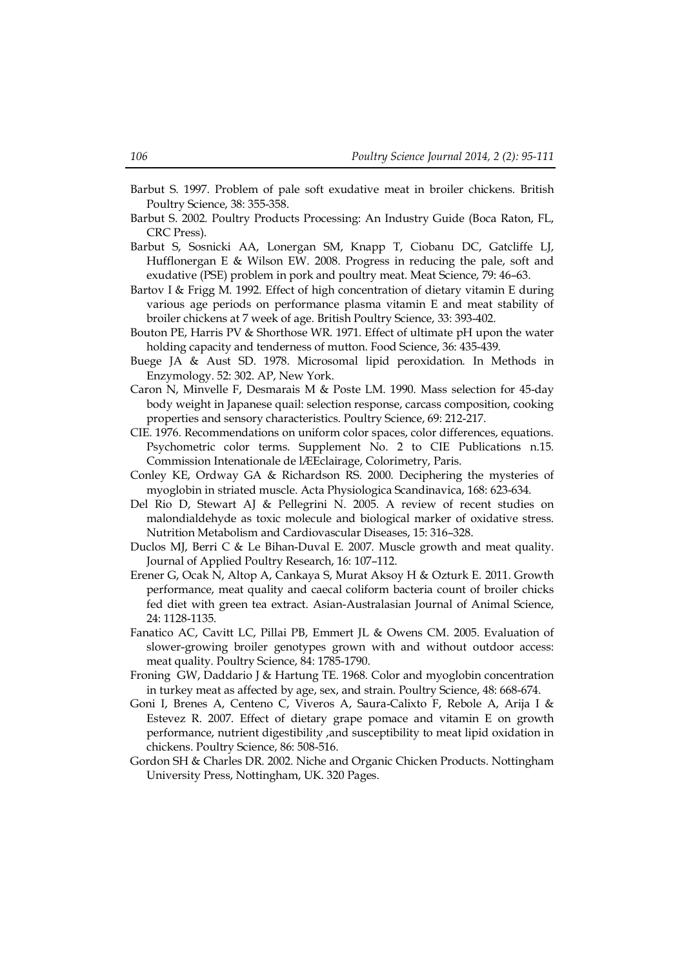- Barbut S. 1997. Problem of pale soft exudative meat in broiler chickens. British Poultry Science, 38: 355-358.
- Barbut S. 2002. Poultry Products Processing: An Industry Guide (Boca Raton, FL, CRC Press).
- Barbut S, Sosnicki AA, Lonergan SM, Knapp T, Ciobanu DC, Gatcliffe LJ, Hufflonergan E & Wilson EW. 2008. Progress in reducing the pale, soft and exudative (PSE) problem in pork and poultry meat. Meat Science, 79: 46–63.
- Bartov I & Frigg M. 1992. Effect of high concentration of dietary vitamin E during various age periods on performance plasma vitamin E and meat stability of broiler chickens at 7 week of age. British Poultry Science, 33: 393-402.
- Bouton PE, Harris PV & Shorthose WR. 1971. Effect of ultimate pH upon the water holding capacity and tenderness of mutton. Food Science, 36: 435-439.
- Buege JA & Aust SD. 1978. Microsomal lipid peroxidation. In Methods in Enzymology. 52: 302. AP, New York.
- Caron N, Minvelle F, Desmarais M & Poste LM. 1990. Mass selection for 45-day body weight in Japanese quail: selection response, carcass composition, cooking properties and sensory characteristics. Poultry Science, 69: 212-217.
- CIE. 1976. Recommendations on uniform color spaces, color differences, equations. Psychometric color terms. Supplement No. 2 to CIE Publications n.15. Commission Intenationale de lÆEclairage, Colorimetry, Paris.
- Conley KE, Ordway GA & Richardson RS. 2000. Deciphering the mysteries of myoglobin in striated muscle. Acta Physiologica Scandinavica, 168: 623-634.
- Del Rio D, Stewart AJ & Pellegrini N. 2005. A review of recent studies on malondialdehyde as toxic molecule and biological marker of oxidative stress. Nutrition Metabolism and Cardiovascular Diseases, 15: 316–328.
- Duclos MJ, Berri C & Le Bihan-Duval E. 2007. Muscle growth and meat quality. Journal of Applied Poultry Research, 16: 107–112.
- Erener G, Ocak N, Altop A, Cankaya S, Murat Aksoy H & Ozturk E. 2011. Growth performance, meat quality and caecal coliform bacteria count of broiler chicks fed diet with green tea extract. Asian-Australasian Journal of Animal Science, 24: 1128-1135.
- Fanatico AC, Cavitt LC, Pillai PB, Emmert JL & Owens CM. 2005. Evaluation of slower-growing broiler genotypes grown with and without outdoor access: meat quality. Poultry Science, 84: 1785-1790.
- Froning GW, Daddario J & Hartung TE. 1968. Color and myoglobin concentration in turkey meat as affected by age, sex, and strain. Poultry Science, 48: 668-674.
- Goni I, Brenes A, Centeno C, Viveros A, Saura-Calixto F, Rebole A, Arija I & Estevez R. 2007. Effect of dietary grape pomace and vitamin E on growth performance, nutrient digestibility ,and susceptibility to meat lipid oxidation in chickens. Poultry Science, 86: 508-516.
- Gordon SH & Charles DR. 2002. Niche and Organic Chicken Products. Nottingham University Press, Nottingham, UK. 320 Pages.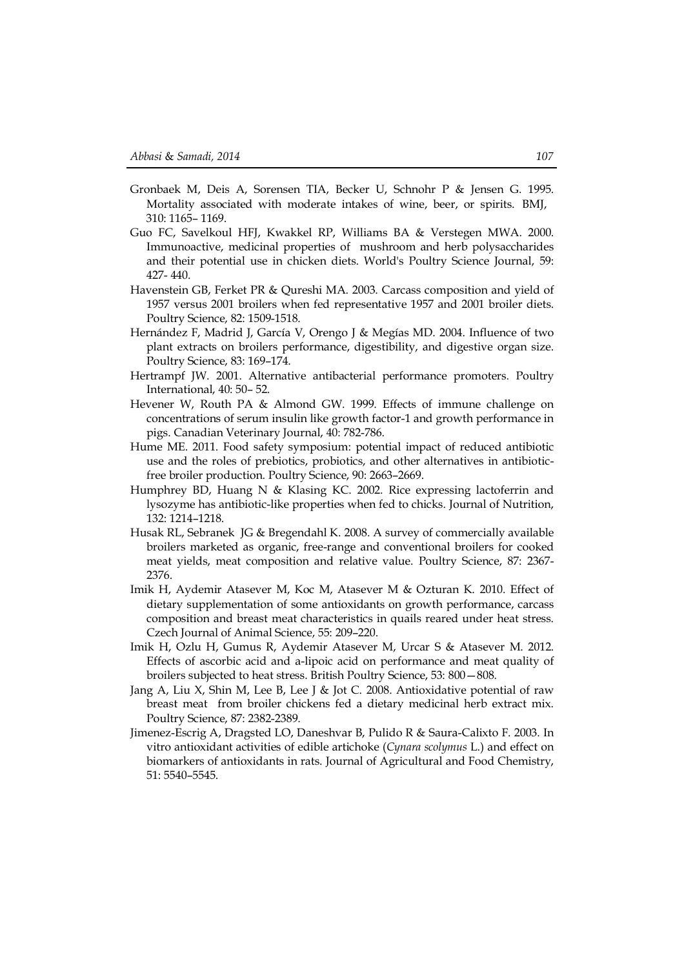- Gronbaek M, Deis A, Sorensen TIA, Becker U, Schnohr P & Jensen G. 1995. Mortality associated with moderate intakes of wine, beer, or spirits. BMJ, 310: 1165– 1169.
- Guo FC, Savelkoul HFJ, Kwakkel RP, Williams BA & Verstegen MWA. 2000. Immunoactive, medicinal properties of mushroom and herb polysaccharides and their potential use in chicken diets. World's Poultry Science Journal, 59: 427- 440.
- Havenstein GB, Ferket PR & Qureshi MA. 2003. Carcass composition and yield of 1957 versus 2001 broilers when fed representative 1957 and 2001 broiler diets. Poultry Science, 82: 1509-1518.
- Hernández F, Madrid J, García V, Orengo J & Megías MD. 2004. Influence of two plant extracts on broilers performance, digestibility, and digestive organ size. Poultry Science, 83: 169–174.
- Hertrampf JW. 2001. Alternative antibacterial performance promoters. Poultry International, 40: 50– 52.
- Hevener W, Routh PA & Almond GW. 1999. Effects of immune challenge on concentrations of serum insulin like growth factor-1 and growth performance in pigs. Canadian Veterinary Journal, 40: 782-786.
- Hume ME. 2011. Food safety symposium: potential impact of reduced antibiotic use and the roles of prebiotics, probiotics, and other alternatives in antibioticfree broiler production. Poultry Science, 90: 2663–2669.
- Humphrey BD, Huang N & Klasing KC. 2002. Rice expressing lactoferrin and lysozyme has antibiotic-like properties when fed to chicks. Journal of Nutrition, 132: 1214–1218.
- Husak RL, Sebranek JG & Bregendahl K. 2008. A survey of commercially available broilers marketed as organic, free-range and conventional broilers for cooked meat yields, meat composition and relative value. Poultry Science, 87: 2367- 2376.
- Imik H, Aydemir Atasever M, Koc M, Atasever M & Ozturan K. 2010. Effect of dietary supplementation of some antioxidants on growth performance, carcass composition and breast meat characteristics in quails reared under heat stress. Czech Journal of Animal Science, 55: 209–220.
- Imik H, Ozlu H, Gumus R, Aydemir Atasever M, Urcar S & Atasever M. 2012. Effects of ascorbic acid and a-lipoic acid on performance and meat quality of broilers subjected to heat stress. British Poultry Science, 53: 800—808.
- Jang A, Liu X, Shin M, Lee B, Lee J & Jot C. 2008. Antioxidative potential of raw breast meat from broiler chickens fed a dietary medicinal herb extract mix. Poultry Science, 87: 2382-2389.
- Jimenez-Escrig A, Dragsted LO, Daneshvar B, Pulido R & Saura-Calixto F. 2003. In vitro antioxidant activities of edible artichoke (*Cynara scolymus* L.) and effect on biomarkers of antioxidants in rats. Journal of Agricultural and Food Chemistry, 51: 5540–5545.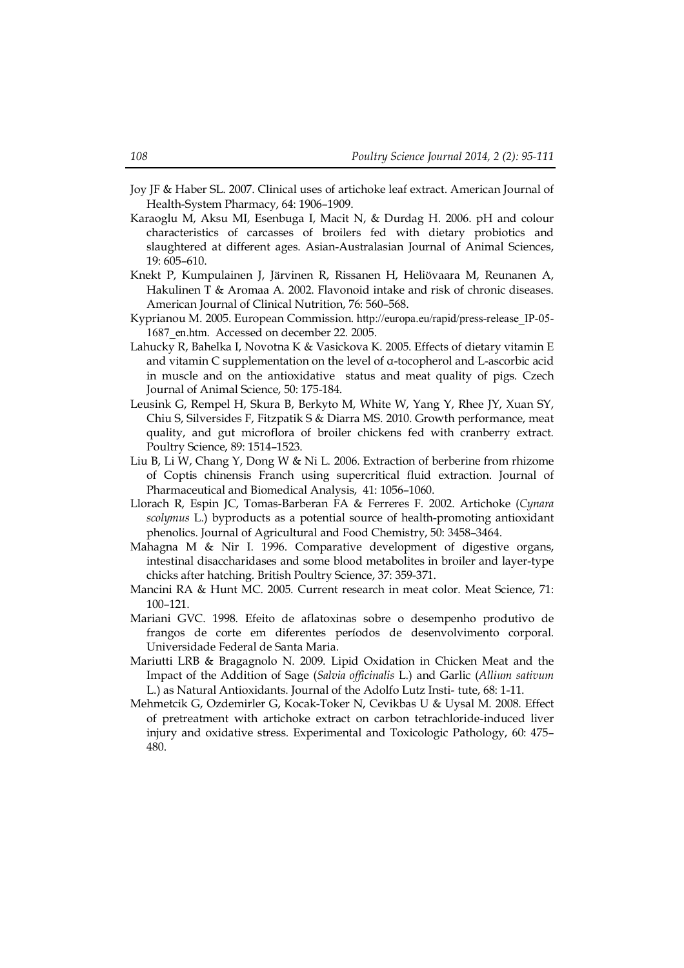- Joy JF & Haber SL. 2007. Clinical uses of artichoke leaf extract. American Journal of Health-System Pharmacy, 64: 1906–1909.
- Karaoglu M, Aksu MI, Esenbuga I, Macit N, & Durdag H. 2006. pH and colour characteristics of carcasses of broilers fed with dietary probiotics and slaughtered at different ages. Asian-Australasian Journal of Animal Sciences, 19: 605–610.
- Knekt P, Kumpulainen J, Järvinen R, Rissanen H, Heliövaara M, Reunanen A, Hakulinen T & Aromaa A. 2002. Flavonoid intake and risk of chronic diseases. American Journal of Clinical Nutrition, 76: 560–568.
- Kyprianou M. 2005. European Commission. http://europa.eu/rapid/press-release\_IP-05- 1687\_en.htm. Accessed on december 22. 2005.
- Lahucky R, Bahelka I, Novotna K & Vasickova K. 2005. Effects of dietary vitamin E and vitamin C supplementation on the level of α-tocopherol and L-ascorbic acid in muscle and on the antioxidative status and meat quality of pigs. Czech Journal of Animal Science, 50: 175-184.
- Leusink G, Rempel H, Skura B, Berkyto M, White W, Yang Y, Rhee JY, Xuan SY, Chiu S, Silversides F, Fitzpatik S & Diarra MS. 2010. Growth performance, meat quality, and gut microflora of broiler chickens fed with cranberry extract. Poultry Science, 89: 1514–1523.
- Liu B, Li W, Chang Y, Dong W & Ni L. 2006. Extraction of berberine from rhizome of Coptis chinensis Franch using supercritical fluid extraction. Journal of Pharmaceutical and Biomedical Analysis, 41: 1056–1060.
- Llorach R, Espin JC, Tomas-Barberan FA & Ferreres F. 2002. Artichoke (*Cynara scolymus* L.) byproducts as a potential source of health-promoting antioxidant phenolics. Journal of Agricultural and Food Chemistry, 50: 3458–3464.
- Mahagna M & Nir I. 1996. Comparative development of digestive organs, intestinal disaccharidases and some blood metabolites in broiler and layer-type chicks after hatching. British Poultry Science, 37: 359-371.
- Mancini RA & Hunt MC. 2005. Current research in meat color. Meat Science, 71: 100–121.
- Mariani GVC. 1998. Efeito de aflatoxinas sobre o desempenho produtivo de frangos de corte em diferentes períodos de desenvolvimento corporal. Universidade Federal de Santa Maria.
- Mariutti LRB & Bragagnolo N. 2009. Lipid Oxidation in Chicken Meat and the Impact of the Addition of Sage (*Salvia officinalis* L.) and Garlic (*Allium sativum* L.) as Natural Antioxidants. Journal of the Adolfo Lutz Insti- tute, 68: 1-11.
- Mehmetcik G, Ozdemirler G, Kocak-Toker N, Cevikbas U & Uysal M. 2008. Effect of pretreatment with artichoke extract on carbon tetrachloride-induced liver injury and oxidative stress. Experimental and Toxicologic Pathology, 60: 475– 480.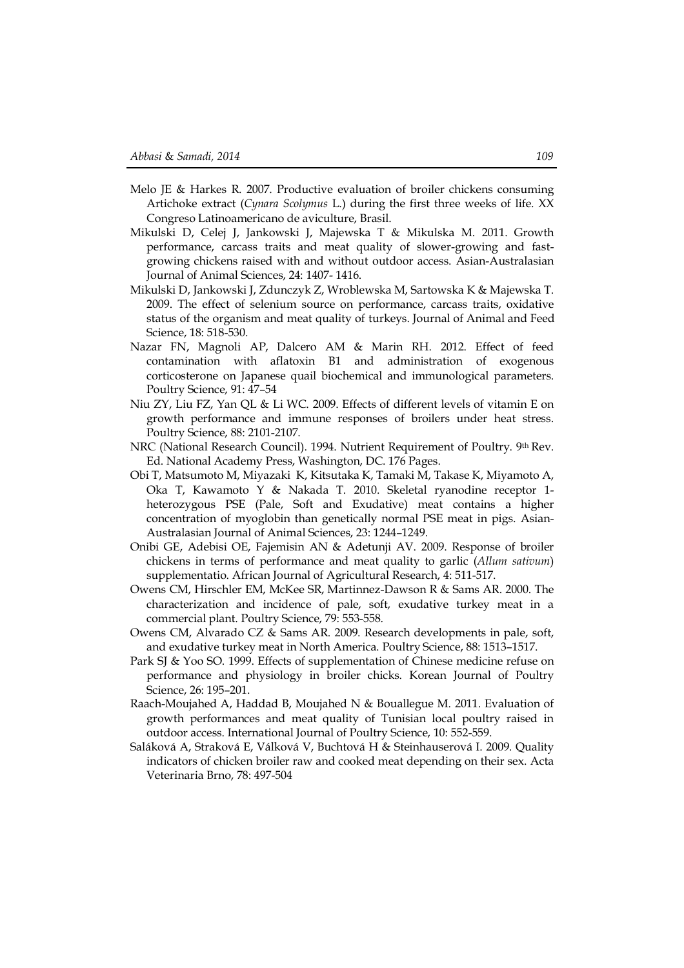- Melo JE & Harkes R. 2007. Productive evaluation of broiler chickens consuming Artichoke extract (*Cynara Scolymus* L.) during the first three weeks of life. XX Congreso Latinoamericano de aviculture, Brasil.
- Mikulski D, Celej J, Jankowski J, Majewska T & Mikulska M. 2011. Growth performance, carcass traits and meat quality of slower-growing and fastgrowing chickens raised with and without outdoor access. Asian-Australasian Journal of Animal Sciences, 24: 1407- 1416.
- Mikulski D, Jankowski J, Zdunczyk Z, Wroblewska M, Sartowska K & Majewska T. 2009. The effect of selenium source on performance, carcass traits, oxidative status of the organism and meat quality of turkeys. Journal of Animal and Feed Science, 18: 518-530.
- Nazar FN, Magnoli AP, Dalcero AM & Marin RH. 2012. Effect of feed contamination with aflatoxin B1 and administration of exogenous corticosterone on Japanese quail biochemical and immunological parameters. Poultry Science, 91: 47–54
- Niu ZY, Liu FZ, Yan QL & Li WC. 2009. Effects of different levels of vitamin E on growth performance and immune responses of broilers under heat stress. Poultry Science, 88: 2101-2107.
- NRC (National Research Council). 1994. Nutrient Requirement of Poultry. 9th Rev. Ed. National Academy Press, Washington, DC. 176 Pages.
- Obi T, Matsumoto M, Miyazaki K, Kitsutaka K, Tamaki M, Takase K, Miyamoto A, Oka T, Kawamoto Y & Nakada T. 2010. Skeletal ryanodine receptor 1 heterozygous PSE (Pale, Soft and Exudative) meat contains a higher concentration of myoglobin than genetically normal PSE meat in pigs. Asian-Australasian Journal of Animal Sciences, 23: 1244–1249.
- Onibi GE, Adebisi OE, Fajemisin AN & Adetunji AV. 2009. Response of broiler chickens in terms of performance and meat quality to garlic (*Allum sativum*) supplementatio. African Journal of Agricultural Research, 4: 511-517.
- Owens CM, Hirschler EM, McKee SR, Martinnez-Dawson R & Sams AR. 2000. The characterization and incidence of pale, soft, exudative turkey meat in a commercial plant. Poultry Science, 79: 553-558.
- Owens CM, Alvarado CZ & Sams AR. 2009. Research developments in pale, soft, and exudative turkey meat in North America. Poultry Science, 88: 1513–1517.
- Park SJ & Yoo SO. 1999. Effects of supplementation of Chinese medicine refuse on performance and physiology in broiler chicks. Korean Journal of Poultry Science, 26: 195–201.
- Raach-Moujahed A, Haddad B, Moujahed N & Bouallegue M. 2011. Evaluation of growth performances and meat quality of Tunisian local poultry raised in outdoor access. International Journal of Poultry Science, 10: 552-559.
- Saláková A, Straková E, Válková V, Buchtová H & Steinhauserová I. 2009. Quality indicators of chicken broiler raw and cooked meat depending on their sex. Acta Veterinaria Brno, 78: 497-504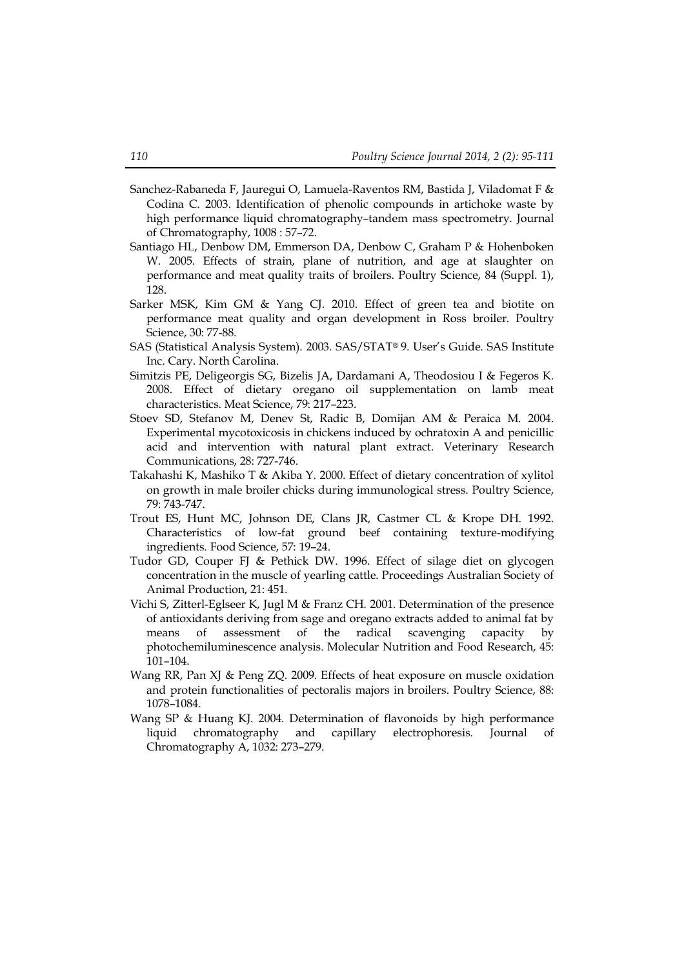- Sanchez-Rabaneda F, Jauregui O, Lamuela-Raventos RM, Bastida J, Viladomat F & Codina C. 2003. Identification of phenolic compounds in artichoke waste by high performance liquid chromatography–tandem mass spectrometry. Journal of Chromatography, 1008 : 57–72.
- Santiago HL, Denbow DM, Emmerson DA, Denbow C, Graham P & Hohenboken W. 2005. Effects of strain, plane of nutrition, and age at slaughter on performance and meat quality traits of broilers. Poultry Science, 84 (Suppl. 1), 128.
- Sarker MSK, Kim GM & Yang CJ. 2010. Effect of green tea and biotite on performance meat quality and organ development in Ross broiler. Poultry Science, 30: 77-88.
- SAS (Statistical Analysis System). 2003. SAS/STAT® 9. User's Guide. SAS Institute Inc. Cary. North Carolina.
- Simitzis PE, Deligeorgis SG, Bizelis JA, Dardamani A, Theodosiou I & Fegeros K. 2008. Effect of dietary oregano oil supplementation on lamb meat characteristics. Meat Science, 79: 217–223.
- Stoev SD, Stefanov M, Denev St, Radic B, Domijan AM & Peraica M. 2004. Experimental mycotoxicosis in chickens induced by ochratoxin A and penicillic acid and intervention with natural plant extract. Veterinary Research Communications, 28: 727-746.
- Takahashi K, Mashiko T & Akiba Y. 2000. Effect of dietary concentration of xylitol on growth in male broiler chicks during immunological stress. Poultry Science, 79: 743-747.
- Trout ES, Hunt MC, Johnson DE, Clans JR, Castmer CL & Krope DH. 1992. Characteristics of low-fat ground beef containing texture-modifying ingredients. Food Science, 57: 19–24.
- Tudor GD, Couper FJ & Pethick DW. 1996. Effect of silage diet on glycogen concentration in the muscle of yearling cattle. Proceedings Australian Society of Animal Production, 21: 451.
- Vichi S, Zitterl-Eglseer K, Jugl M & Franz CH. 2001. Determination of the presence of antioxidants deriving from sage and oregano extracts added to animal fat by means of assessment of the radical scavenging capacity by photochemiluminescence analysis. Molecular Nutrition and Food Research, 45: 101–104.
- Wang RR, Pan XJ & Peng ZQ. 2009. Effects of heat exposure on muscle oxidation and protein functionalities of pectoralis majors in broilers. Poultry Science, 88: 1078–1084.
- Wang SP & Huang KJ. 2004. Determination of flavonoids by high performance liquid chromatography and capillary electrophoresis. Journal of Chromatography A, 1032: 273–279.